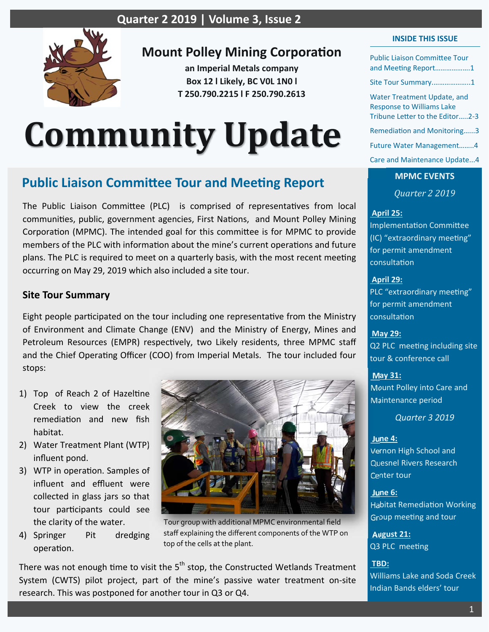

## **Mount Polley Mining Corporation**

**an Imperial Metals company Box 12 l Likely, BC V0L 1N0 l T 250.790.2215 l F 250.790.2613** 

# **Community Update**

# **Public Liaison Committee Tour and Meeting Report**

The Public Liaison Committee (PLC) is comprised of representatives from local communities, public, government agencies, First Nations, and Mount Polley Mining Corporation (MPMC). The intended goal for this committee is for MPMC to provide members of the PLC with information about the mine's current operations and future plans. The PLC is required to meet on a quarterly basis, with the most recent meeting occurring on May 29, 2019 which also included a site tour.

## **Site Tour Summary**

Eight people participated on the tour including one representative from the Ministry of Environment and Climate Change (ENV) and the Ministry of Energy, Mines and Petroleum Resources (EMPR) respectively, two Likely residents, three MPMC staff and the Chief Operating Officer (COO) from Imperial Metals. The tour included four stops:

- 1) Top of Reach 2 of Hazeltine Creek to view the creek remediation and new fish habitat.
- 2) Water Treatment Plant (WTP) influent pond.
- 3) WTP in operation. Samples of influent and effluent were collected in glass jars so that tour participants could see the clarity of the water.
- 4) Springer Pit dredging operation.



Tour group with additional MPMC environmental field staff explaining the different components of the WTP on top of the cells at the plant.

There was not enough time to visit the  $5<sup>th</sup>$  stop, the Constructed Wetlands Treatment System (CWTS) pilot project, part of the mine's passive water treatment on-site research. This was postponed for another tour in Q3 or Q4.

#### **INSIDE THIS ISSUE**

Public Liaison CommiƩee Tour and Meeting Report...................1

Site Tour Summary.………………..1

Water Treatment Update, and Response to Williams Lake Tribune Letter to the Editor.....2-3

Remediation and Monitoring……3

Future Water Management……..4

Care and Maintenance Update...4

**MPMC EVENTS**  *Quarter 2 2019*

#### **April 25:**

ImplementaƟon CommiƩee (IC) "extraordinary meeting" for permit amendment consultaƟon

 **April 29:** 

PLC "extraordinary meeting" for permit amendment consultaƟon

 **May 29:** 

Q2 PLC meeting including site tour & conference call

#### **May 31:**

Mount Polley into Care and Maintenance period

*Quarter 3 2019* 

#### **June 4:**

Vernon High School and Quesnel Rivers Research Center tour

 **June 6:** 

Habitat Remediation Working Group meeting and tour

 **August 21:**  Q3 PLC meeting

 **TBD:**  Williams Lake and Soda Creek Indian Bands elders' tour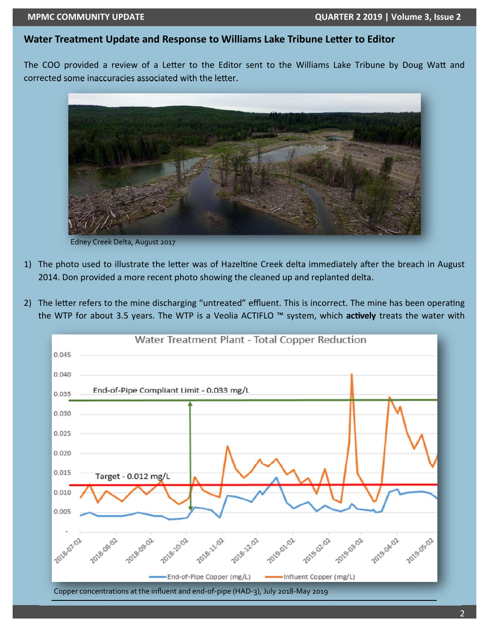#### **Water Treatment Update and Response to Williams Lake Tribune Letter to Editor**

The COO provided a review of a Letter to the Editor sent to the Williams Lake Tribune by Doug Watt and corrected some inaccuracies associated with the letter.



Edney Creek Delta, August 2017

- 1) The photo used to illustrate the letter was of Hazeltine Creek delta immediately after the breach in August 2014. Don provided a more recent photo showing the cleaned up and replanted delta.
- 2) The letter refers to the mine discharging "untreated" effluent. This is incorrect. The mine has been operating the WTP for about 3.5 years. The WTP is a Veolia ACTIFLO ™ system, which actively treats the water with

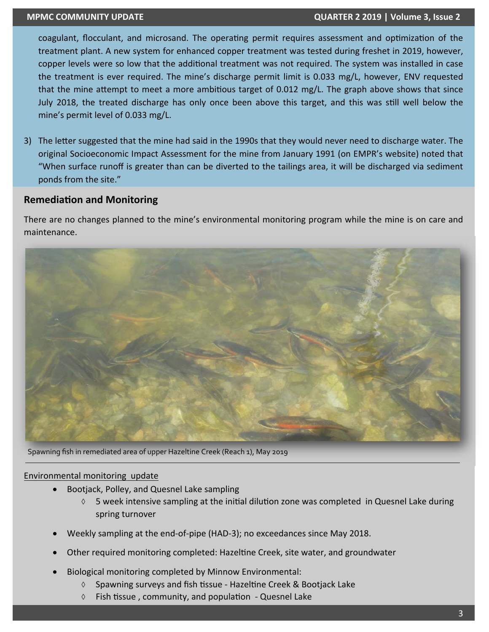#### **MPMC COMMUNITY UPDATE QUARTER 2 2019 | Volume 3, Issue 2**

coagulant, flocculant, and microsand. The operating permit requires assessment and optimization of the treatment plant. A new system for enhanced copper treatment was tested during freshet in 2019, however, copper levels were so low that the additional treatment was not required. The system was installed in case the treatment is ever required. The mine's discharge permit limit is 0.033 mg/L, however, ENV requested that the mine attempt to meet a more ambitious target of 0.012 mg/L. The graph above shows that since July 2018, the treated discharge has only once been above this target, and this was still well below the mine's permit level of 0.033 mg/L.

3) The letter suggested that the mine had said in the 1990s that they would never need to discharge water. The original Socioeconomic Impact Assessment for the mine from January 1991 (on EMPR's website) noted that "When surface runoff is greater than can be diverted to the tailings area, it will be discharged via sediment ponds from the site."

## **Remediation and Monitoring**

There are no changes planned to the mine's environmental monitoring program while the mine is on care and maintenance.



Spawning fish in remediated area of upper Hazeltine Creek (Reach 1), May 2019

#### Environmental monitoring update

- Bootjack, Polley, and Quesnel Lake sampling
	- $\Diamond$  5 week intensive sampling at the initial dilution zone was completed in Quesnel Lake during spring turnover
- Weekly sampling at the end‐of‐pipe (HAD‐3); no exceedances since May 2018.
- Other required monitoring completed: Hazeltine Creek, site water, and groundwater
- Biological monitoring completed by Minnow Environmental:
	- $\lozenge$  Spawning surveys and fish tissue Hazeltine Creek & Bootjack Lake
	- $\lozenge$  Fish tissue, community, and population Quesnel Lake